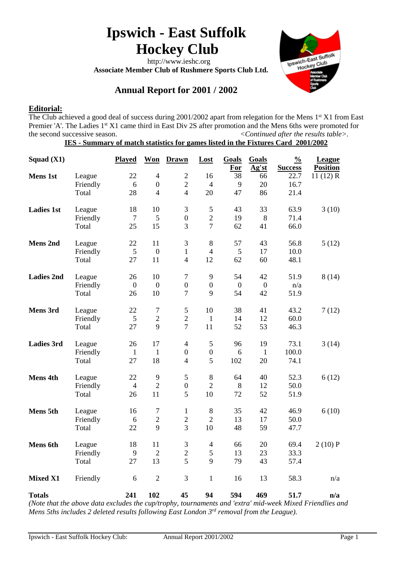# **Ipswich - East Suffolk Hockey Club**

 http://www.ieshc.org  **Associate Member Club of Rushmere Sports Club Ltd.**



# **Annual Report for 2001 / 2002**

# **Editorial:**

The Club achieved a good deal of success during 2001/2002 apart from relegation for the Mens 1st X1 from East Premier 'A'. The Ladies 1<sup>st</sup> X1 came third in East Div 2S after promotion and the Mens 6ths were promoted for the second successive season.  $\leq$  *Continued after the results table*>.

|  |  |  | IES - Summary of match statistics for games listed in the Fixtures Card 2001/2002 |  |
|--|--|--|-----------------------------------------------------------------------------------|--|
|  |  |  |                                                                                   |  |

| Squad $(X1)$                                            |              | <b>Played</b>                       | <b>Won</b>       | <b>Drawn</b>     | Lost             | Goals<br><u>For</u> | Goals<br>Ag'st        | $\frac{0}{0}$<br><b>Success</b> | League<br><b>Position</b>                     |
|---------------------------------------------------------|--------------|-------------------------------------|------------------|------------------|------------------|---------------------|-----------------------|---------------------------------|-----------------------------------------------|
| <b>Mens 1st</b>                                         | League       | 22                                  | $\overline{4}$   | $\overline{2}$   | 16               | 38                  | 66                    | 22.7                            | 11 $(12)$ R                                   |
|                                                         | Friendly     | 6                                   | $\boldsymbol{0}$ | $\overline{2}$   | $\overline{4}$   | 9                   | 20                    | 16.7                            |                                               |
|                                                         | Total        | 28                                  | $\overline{4}$   | $\overline{4}$   | 20               | 47                  | 86                    | 21.4                            |                                               |
| <b>Ladies 1st</b>                                       | League       | 18                                  | 10               | 3                | 5                | 43                  | 33                    | 63.9                            | 3(10)                                         |
|                                                         | Friendly     | $\overline{7}$                      | 5                | $\boldsymbol{0}$ | $\overline{c}$   | 19                  | $\,8\,$               | 71.4                            |                                               |
|                                                         | Total        | 25                                  | 15               | 3                | $\overline{7}$   | 62                  | 41                    | 66.0                            |                                               |
| <b>Mens 2nd</b>                                         | League       | 22                                  | 11               | 3                | $8\,$            | 57                  | 43                    | 56.8                            | 5(12)                                         |
|                                                         | Friendly     | $\mathfrak{S}$                      | $\boldsymbol{0}$ | $\mathbf{1}$     | $\overline{4}$   | 5                   | 17                    | 10.0                            |                                               |
|                                                         | Total        | 27                                  | 11               | $\overline{4}$   | 12               | 62                  | 60                    | 48.1                            |                                               |
| <b>Ladies 2nd</b>                                       | League       | 26                                  | 10               | $\overline{7}$   | 9                | 54                  | 42                    | 51.9                            | 8(14)                                         |
|                                                         | Friendly     | $\boldsymbol{0}$                    | $\boldsymbol{0}$ | $\boldsymbol{0}$ | $\boldsymbol{0}$ | $\boldsymbol{0}$    | $\boldsymbol{0}$      | n/a                             |                                               |
|                                                         | Total        | 26                                  | 10               | $\overline{7}$   | 9                | 54                  | 42                    | 51.9                            |                                               |
| Mens 3rd                                                | League       | 22                                  | $\boldsymbol{7}$ | 5                | 10               | 38                  | 41                    | 43.2                            | 7(12)                                         |
|                                                         | Friendly     | 5                                   | $\overline{2}$   | $\overline{2}$   | $\mathbf{1}$     | 14                  | 12                    | 60.0                            |                                               |
|                                                         | Total        | 27                                  | 9                | $\overline{7}$   | 11               | 52                  | 53                    | 46.3                            |                                               |
| <b>Ladies 3rd</b>                                       | League       | 26                                  | 17               | $\overline{4}$   | 5                | 96                  | 19                    | 73.1                            | 3(14)                                         |
|                                                         | Friendly     | $\mathbf{1}$                        | $\mathbf{1}$     | $\boldsymbol{0}$ | $\boldsymbol{0}$ | 6                   | $\mathbf{1}$          | 100.0                           |                                               |
|                                                         | Total        | 27                                  | 18               | $\overline{4}$   | 5                | 102                 | 20                    | 74.1                            |                                               |
| Mens 4th                                                | League       | 22                                  | $\mathbf{9}$     | 5                | $\,8\,$          | 64                  | 40                    | 52.3                            | 6(12)                                         |
|                                                         | Friendly     | $\overline{4}$                      | $\overline{2}$   | $\boldsymbol{0}$ | $\overline{2}$   | 8                   | 12                    | 50.0                            |                                               |
|                                                         | Total        | 26                                  | 11               | 5                | 10               | 72                  | 52                    | 51.9                            |                                               |
| <b>Mens 5th</b>                                         | League       | 16                                  | $\tau$           | 1                | $\,8\,$          | 35                  | 42                    | 46.9                            | 6(10)                                         |
|                                                         | Friendly     | 6                                   | $\sqrt{2}$       | $\overline{2}$   | $\overline{2}$   | 13                  | 17                    | 50.0                            |                                               |
|                                                         | Total        | 22                                  | 9                | $\overline{3}$   | 10               | 48                  | 59                    | 47.7                            |                                               |
| <b>Mens</b> 6th                                         | League       | 18                                  | 11               | 3                | $\overline{4}$   | 66                  | 20                    | 69.4                            | 2(10)P                                        |
|                                                         | Friendly     | 9                                   | $\overline{2}$   | $\overline{2}$   | 5                | 13                  | 23                    | 33.3                            |                                               |
|                                                         | Total        | 27                                  | 13               | 5                | 9                | 79                  | 43                    | 57.4                            |                                               |
| <b>Mixed X1</b>                                         | Friendly     | 6                                   | $\overline{2}$   | 3                | $\mathbf{1}$     | 16                  | 13                    | 58.3                            | n/a                                           |
| <b>Totals</b><br>$\mathbf{I}$ $\mathbf{I}$ $\mathbf{I}$ | $\mathbf{r}$ | 241<br>$\mathbf{v}$<br>$\mathbf{r}$ | 102              | 45               | 94               | 594                 | 469<br>$\overline{ }$ | 51.7<br>$\mathbf{z}$            | n/a<br>$\mathbf{r}$ $\mathbf{r}$ $\mathbf{r}$ |

*(Note that the above data excludes the cup/trophy, tournaments and 'extra' mid-week Mixed Friendlies and Mens 5ths includes 2 deleted results following East London 3rd removal from the League).*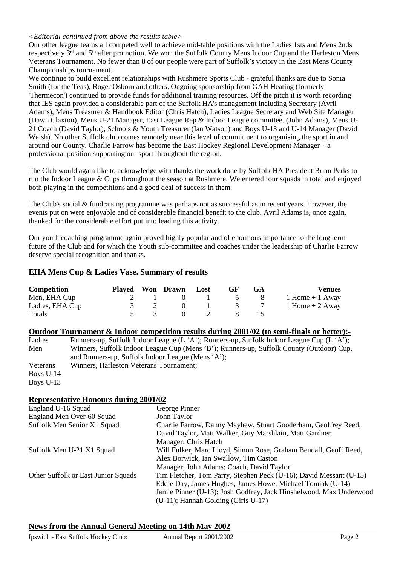# *<Editorial continued from above the results table>*

Our other league teams all competed well to achieve mid-table positions with the Ladies 1sts and Mens 2nds respectively 3<sup>rd</sup> and 5<sup>th</sup> after promotion. We won the Suffolk County Mens Indoor Cup and the Harleston Mens Veterans Tournament. No fewer than 8 of our people were part of Suffolk's victory in the East Mens County Championships tournament.

We continue to build excellent relationships with Rushmere Sports Club - grateful thanks are due to Sonia Smith (for the Teas), Roger Osborn and others. Ongoing sponsorship from GAH Heating (formerly 'Thermecon') continued to provide funds for additional training resources. Off the pitch it is worth recording that IES again provided a considerable part of the Suffolk HA's management including Secretary (Avril Adams), Mens Treasurer & Handbook Editor (Chris Hatch), Ladies League Secretary and Web Site Manager (Dawn Claxton), Mens U-21 Manager, East League Rep & Indoor League committee. (John Adams), Mens U-21 Coach (David Taylor), Schools & Youth Treasurer (Ian Watson) and Boys U-13 and U-14 Manager (David Walsh). No other Suffolk club comes remotely near this level of commitment to organising the sport in and around our County. Charlie Farrow has become the East Hockey Regional Development Manager – a professional position supporting our sport throughout the region.

The Club would again like to acknowledge with thanks the work done by Suffolk HA President Brian Perks to run the Indoor League & Cups throughout the season at Rushmere. We entered four squads in total and enjoyed both playing in the competitions and a good deal of success in them.

The Club's social & fundraising programme was perhaps not as successful as in recent years. However, the events put on were enjoyable and of considerable financial benefit to the club. Avril Adams is, once again, thanked for the considerable effort put into leading this activity.

Our youth coaching programme again proved highly popular and of enormous importance to the long term future of the Club and for which the Youth sub-committee and coaches under the leadership of Charlie Farrow deserve special recognition and thanks.

# **EHA Mens Cup & Ladies Vase. Summary of results**

| Competition     |     | Played Won Drawn Lost |                                        | GF                          | <b>GA</b> | <b>Venues</b>      |
|-----------------|-----|-----------------------|----------------------------------------|-----------------------------|-----------|--------------------|
| Men, EHA Cup    | 2 1 |                       |                                        | $0 \quad 1 \quad 5 \quad 8$ |           | $1$ Home $+1$ Away |
| Ladies, EHA Cup |     |                       |                                        | $0 \t 1 \t 3 \t 7$          |           | 1 Home $+$ 2 Away  |
| Totals          |     |                       | $\begin{array}{ccc} 0 & 2 \end{array}$ |                             | 15        |                    |

| Outdoor Tournament & Indoor competition results during 2001/02 (to semi-finals or better):- |  |  |  |
|---------------------------------------------------------------------------------------------|--|--|--|
|                                                                                             |  |  |  |

Ladies Runners-up, Suffolk Indoor League (L 'A'); Runners-up, Suffolk Indoor League Cup (L 'A'); Men Winners, Suffolk Indoor League Cup (Mens 'B'); Runners-up, Suffolk County (Outdoor) Cup, and Runners-up, Suffolk Indoor League (Mens 'A'); Veterans Winners, Harleston Veterans Tournament; Boys U-14 Boys U-13

#### **Representative Honours during 2001/02**

| England U-16 Squad                  | George Pinner                                                      |
|-------------------------------------|--------------------------------------------------------------------|
| England Men Over-60 Squad           | John Taylor                                                        |
| Suffolk Men Senior X1 Squad         | Charlie Farrow, Danny Mayhew, Stuart Gooderham, Geoffrey Reed,     |
|                                     | David Taylor, Matt Walker, Guy Marshlain, Matt Gardner.            |
|                                     | Manager: Chris Hatch                                               |
| Suffolk Men U-21 X1 Squad           | Will Fulker, Marc Lloyd, Simon Rose, Graham Bendall, Geoff Reed,   |
|                                     | Alex Borwick, Ian Swallow, Tim Caston                              |
|                                     | Manager, John Adams; Coach, David Taylor                           |
| Other Suffolk or East Junior Squads | Tim Fletcher, Tom Parry, Stephen Peck (U-16); David Messant (U-15) |
|                                     | Eddie Day, James Hughes, James Howe, Michael Tomiak (U-14)         |
|                                     | Jamie Pinner (U-13); Josh Godfrey, Jack Hinshelwood, Max Underwood |
|                                     | (U-11); Hannah Golding (Girls U-17)                                |

# **News from the Annual General Meeting on 14th May 2002**

| Ipswich - East Suffolk Hockey Club:<br>Annual Report 2001/2002 | Page 2 |
|----------------------------------------------------------------|--------|
|----------------------------------------------------------------|--------|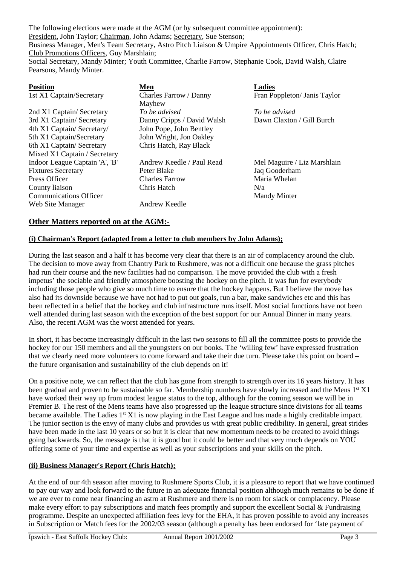The following elections were made at the AGM (or by subsequent committee appointment): President, John Taylor; Chairman, John Adams; Secretary, Sue Stenson; Business Manager, Men's Team Secretary, Astro Pitch Liaison & Umpire Appointments Officer, Chris Hatch; Club Promotions Officers, Guy Marshlain; Social Secretary, Mandy Minter; Youth Committee, Charlie Farrow, Stephanie Cook, David Walsh, Claire Pearsons, Mandy Minter.

| <b>Position</b>                | Men                        | <b>Ladies</b>                |  |  |  |
|--------------------------------|----------------------------|------------------------------|--|--|--|
| 1st X1 Captain/Secretary       | Charles Farrow / Danny     | Fran Poppleton/ Janis Taylor |  |  |  |
|                                | Mayhew                     |                              |  |  |  |
| 2nd X1 Captain/ Secretary      | To be advised              | To be advised                |  |  |  |
| 3rd X1 Captain/ Secretary      | Danny Cripps / David Walsh | Dawn Claxton / Gill Burch    |  |  |  |
| 4th X1 Captain/ Secretary/     | John Pope, John Bentley    |                              |  |  |  |
| 5th X1 Captain/Secretary       | John Wright, Jon Oakley    |                              |  |  |  |
| 6th X1 Captain/ Secretary      | Chris Hatch, Ray Black     |                              |  |  |  |
| Mixed X1 Captain / Secretary   |                            |                              |  |  |  |
| Indoor League Captain 'A', 'B' | Andrew Keedle / Paul Read  | Mel Maguire / Liz Marshlain  |  |  |  |
| <b>Fixtures Secretary</b>      | Peter Blake                | Jaq Gooderham                |  |  |  |
| Press Officer                  | <b>Charles Farrow</b>      | Maria Whelan                 |  |  |  |
| County liaison                 | Chris Hatch                | N/a                          |  |  |  |
| <b>Communications Officer</b>  |                            | <b>Mandy Minter</b>          |  |  |  |
| Web Site Manager               | Andrew Keedle              |                              |  |  |  |

# **Other Matters reported on at the AGM:-**

# **(i) Chairman's Report (adapted from a letter to club members by John Adams);**

During the last season and a half it has become very clear that there is an air of complacency around the club. The decision to move away from Chantry Park to Rushmere, was not a difficult one because the grass pitches had run their course and the new facilities had no comparison. The move provided the club with a fresh impetus' the sociable and friendly atmosphere boosting the hockey on the pitch. It was fun for everybody including those people who give so much time to ensure that the hockey happens. But I believe the move has also had its downside because we have not had to put out goals, run a bar, make sandwiches etc and this has been reflected in a belief that the hockey and club infrastructure runs itself. Most social functions have not been well attended during last season with the exception of the best support for our Annual Dinner in many years. Also, the recent AGM was the worst attended for years.

In short, it has become increasingly difficult in the last two seasons to fill all the committee posts to provide the hockey for our 150 members and all the youngsters on our books. The 'willing few' have expressed frustration that we clearly need more volunteers to come forward and take their due turn. Please take this point on board – the future organisation and sustainability of the club depends on it!

On a positive note, we can reflect that the club has gone from strength to strength over its 16 years history. It has been gradual and proven to be sustainable so far. Membership numbers have slowly increased and the Mens 1<sup>st</sup> X1 have worked their way up from modest league status to the top, although for the coming season we will be in Premier B. The rest of the Mens teams have also progressed up the league structure since divisions for all teams became available. The Ladies 1<sup>st</sup> X1 is now playing in the East League and has made a highly creditable impact. The junior section is the envy of many clubs and provides us with great public credibility. In general, great strides have been made in the last 10 years or so but it is clear that new momentum needs to be created to avoid things going backwards. So, the message is that it is good but it could be better and that very much depends on YOU offering some of your time and expertise as well as your subscriptions and your skills on the pitch.

#### **(ii) Business Manager's Report (Chris Hatch);**

At the end of our 4th season after moving to Rushmere Sports Club, it is a pleasure to report that we have continued to pay our way and look forward to the future in an adequate financial position although much remains to be done if we are ever to come near financing an astro at Rushmere and there is no room for slack or complacency. Please make every effort to pay subscriptions and match fees promptly and support the excellent Social & Fundraising programme. Despite an unexpected affiliation fees levy for the EHA, it has proven possible to avoid any increases in Subscription or Match fees for the 2002/03 season (although a penalty has been endorsed for 'late payment of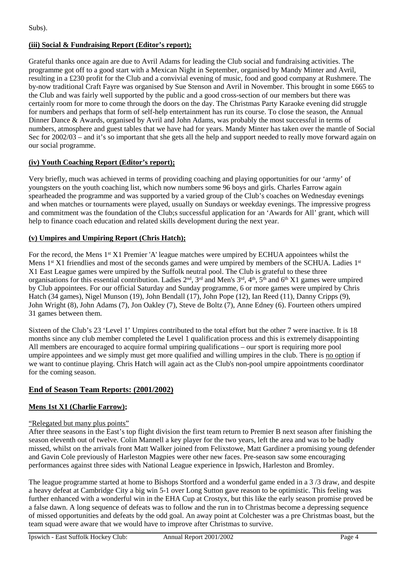Subs).

# **(iii) Social & Fundraising Report (Editor's report);**

Grateful thanks once again are due to Avril Adams for leading the Club social and fundraising activities. The programme got off to a good start with a Mexican Night in September, organised by Mandy Minter and Avril, resulting in a £230 profit for the Club and a convivial evening of music, food and good company at Rushmere. The by-now traditional Craft Fayre was organised by Sue Stenson and Avril in November. This brought in some £665 to the Club and was fairly well supported by the public and a good cross-section of our members but there was certainly room for more to come through the doors on the day. The Christmas Party Karaoke evening did struggle for numbers and perhaps that form of self-help entertainment has run its course. To close the season, the Annual Dinner Dance & Awards, organised by Avril and John Adams, was probably the most successful in terms of numbers, atmosphere and guest tables that we have had for years. Mandy Minter has taken over the mantle of Social Sec for 2002/03 – and it's so important that she gets all the help and support needed to really move forward again on our social programme.

# **(iv) Youth Coaching Report (Editor's report);**

Very briefly, much was achieved in terms of providing coaching and playing opportunities for our 'army' of youngsters on the youth coaching list, which now numbers some 96 boys and girls. Charles Farrow again spearheaded the programme and was supported by a varied group of the Club's coaches on Wednesday evenings and when matches or tournaments were played, usually on Sundays or weekday evenings. The impressive progress and commitment was the foundation of the Club;s successful application for an 'Awards for All' grant, which will help to finance coach education and related skills development during the next year.

# **(v) Umpires and Umpiring Report (Chris Hatch);**

For the record, the Mens 1<sup>st</sup> X1 Premier 'A' league matches were umpired by ECHUA appointees whilst the Mens 1<sup>st</sup> X1 friendlies and most of the seconds games and were umpired by members of the SCHUA. Ladies 1<sup>st</sup> X1 East League games were umpired by the Suffolk neutral pool. The Club is grateful to these three organisations for this essential contribution. Ladies 2nd, 3rd and Men's 3rd, 4th, 5th and 6th X1 games were umpired by Club appointees. For our official Saturday and Sunday programme, 6 or more games were umpired by Chris Hatch (34 games), Nigel Munson (19), John Bendall (17), John Pope (12), Ian Reed (11), Danny Cripps (9), John Wright (8), John Adams (7), Jon Oakley (7), Steve de Boltz (7), Anne Edney (6). Fourteen others umpired 31 games between them.

Sixteen of the Club's 23 'Level 1' Umpires contributed to the total effort but the other 7 were inactive. It is 18 months since any club member completed the Level 1 qualification process and this is extremely disappointing All members are encouraged to acquire formal umpiring qualifications – our sport is requiring more pool umpire appointees and we simply must get more qualified and willing umpires in the club. There is no option if we want to continue playing. Chris Hatch will again act as the Club's non-pool umpire appointments coordinator for the coming season.

# **End of Season Team Reports: (2001/2002)**

# **Mens 1st X1 (Charlie Farrow);**

# "Relegated but many plus points"

After three seasons in the East's top flight division the first team return to Premier B next season after finishing the season eleventh out of twelve. Colin Mannell a key player for the two years, left the area and was to be badly missed, whilst on the arrivals front Matt Walker joined from Felixstowe, Matt Gardiner a promising young defender and Gavin Cole previously of Harleston Magpies were other new faces. Pre-season saw some encouraging performances against three sides with National League experience in Ipswich, Harleston and Bromley.

The league programme started at home to Bishops Stortford and a wonderful game ended in a 3 /3 draw, and despite a heavy defeat at Cambridge City a big win 5-1 over Long Sutton gave reason to be optimistic. This feeling was further enhanced with a wonderful win in the EHA Cup at Crostyx, but this like the early season promise proved be a false dawn. A long sequence of defeats was to follow and the run in to Christmas become a depressing sequence of missed opportunities and defeats by the odd goal. An away point at Colchester was a pre Christmas boast, but the team squad were aware that we would have to improve after Christmas to survive.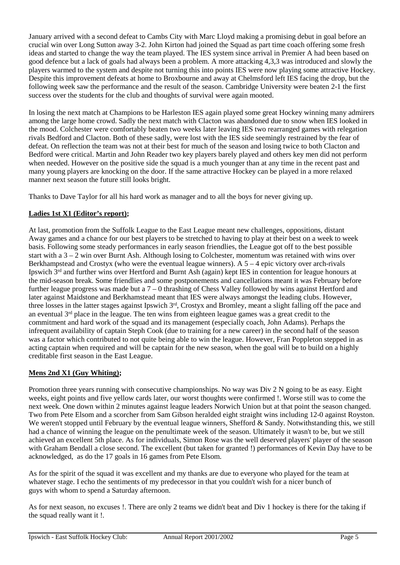January arrived with a second defeat to Cambs City with Marc Lloyd making a promising debut in goal before an crucial win over Long Sutton away 3-2. John Kirton had joined the Squad as part time coach offering some fresh ideas and started to change the way the team played. The IES system since arrival in Premier A had been based on good defence but a lack of goals had always been a problem. A more attacking 4,3,3 was introduced and slowly the players warmed to the system and despite not turning this into points IES were now playing some attractive Hockey. Despite this improvement defeats at home to Broxbourne and away at Chelmsford left IES facing the drop, but the following week saw the performance and the result of the season. Cambridge University were beaten 2-1 the first success over the students for the club and thoughts of survival were again mooted.

In losing the next match at Champions to be Harleston IES again played some great Hockey winning many admirers among the large home crowd. Sadly the next match with Clacton was abandoned due to snow when IES looked in the mood. Colchester were comfortably beaten two weeks later leaving IES two rearranged games with relegation rivals Bedford and Clacton. Both of these sadly, were lost with the IES side seemingly restrained by the fear of defeat. On reflection the team was not at their best for much of the season and losing twice to both Clacton and Bedford were critical. Martin and John Reader two key players barely played and others key men did not perform when needed. However on the positive side the squad is a much younger than at any time in the recent past and many young players are knocking on the door. If the same attractive Hockey can be played in a more relaxed manner next season the future still looks bright.

Thanks to Dave Taylor for all his hard work as manager and to all the boys for never giving up.

# **Ladies 1st X1 (Editor's report);**

At last, promotion from the Suffolk League to the East League meant new challenges, oppositions, distant Away games and a chance for our best players to be stretched to having to play at their best on a week to week basis. Following some steady performances in early season friendlies, the League got off to the best possible start with a 3 – 2 win over Burnt Ash. Although losing to Colchester, momentum was retained with wins over Berkhampstead and Crostyx (who were the eventual league winners). A  $5 - 4$  epic victory over arch-rivals Ipswich 3rd and further wins over Hertford and Burnt Ash (again) kept IES in contention for league honours at the mid-season break. Some friendlies and some postponements and cancellations meant it was February before further league progress was made but a 7 – 0 thrashing of Chess Valley followed by wins against Hertford and later against Maidstone and Berkhamstead meant that IES were always amongst the leading clubs. However, three losses in the latter stages against Ipswich 3rd, Crostyx and Bromley, meant a slight falling off the pace and an eventual  $3<sup>rd</sup>$  place in the league. The ten wins from eighteen league games was a great credit to the commitment and hard work of the squad and its management (especially coach, John Adams). Perhaps the infrequent availability of captain Steph Cook (due to training for a new career) in the second half of the season was a factor which contributed to not quite being able to win the league. However, Fran Poppleton stepped in as acting captain when required and will be captain for the new season, when the goal will be to build on a highly creditable first season in the East League.

# **Mens 2nd X1 (Guy Whiting);**

Promotion three years running with consecutive championships. No way was Div 2 N going to be as easy. Eight weeks, eight points and five yellow cards later, our worst thoughts were confirmed !. Worse still was to come the next week. One down within 2 minutes against league leaders Norwich Union but at that point the season changed. Two from Pete Elsom and a scorcher from Sam Gibson heralded eight straight wins including 12-0 against Royston. We weren't stopped until February by the eventual league winners, Shefford & Sandy. Notwithstanding this, we still had a chance of winning the league on the penultimate week of the season. Ultimately it wasn't to be, but we still achieved an excellent 5th place. As for individuals, Simon Rose was the well deserved players' player of the season with Graham Bendall a close second. The excellent (but taken for granted !) performances of Kevin Day have to be acknowledged, as do the 17 goals in 16 games from Pete Elsom.

As for the spirit of the squad it was excellent and my thanks are due to everyone who played for the team at whatever stage. I echo the sentiments of my predecessor in that you couldn't wish for a nicer bunch of guys with whom to spend a Saturday afternoon.

As for next season, no excuses !. There are only 2 teams we didn't beat and Div 1 hockey is there for the taking if the squad really want it !.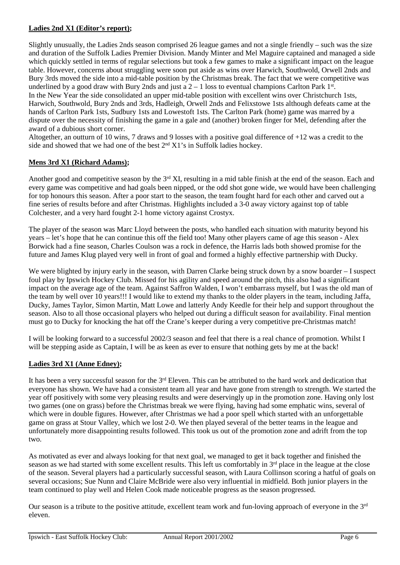# **Ladies 2nd X1 (Editor's report);**

Slightly unusually, the Ladies 2nds season comprised 26 league games and not a single friendly – such was the size and duration of the Suffolk Ladies Premier Division. Mandy Minter and Mel Maguire captained and managed a side which quickly settled in terms of regular selections but took a few games to make a significant impact on the league table. However, concerns about struggling were soon put aside as wins over Harwich, Southwold, Orwell 2nds and Bury 3rds moved the side into a mid-table position by the Christmas break. The fact that we were competitive was underlined by a good draw with Bury 2nds and just a  $2 - 1$  loss to eventual champions Carlton Park  $1^{st}$ . In the New Year the side consolidated an upper mid-table position with excellent wins over Christchurch 1sts, Harwich, Southwold, Bury 2nds and 3rds, Hadleigh, Orwell 2nds and Felixstowe 1sts although defeats came at the hands of Carlton Park 1sts, Sudbury 1sts and Lowestoft 1sts. The Carlton Park (home) game was marred by a dispute over the necessity of finishing the game in a gale and (another) broken finger for Mel, defending after the award of a dubious short corner.

Altogether, an outturn of 10 wins, 7 draws and 9 losses with a positive goal difference of +12 was a credit to the side and showed that we had one of the best  $2<sup>nd</sup> X1's$  in Suffolk ladies hockey.

# **Mens 3rd X1 (Richard Adams);**

Another good and competitive season by the 3<sup>rd</sup> XI, resulting in a mid table finish at the end of the season. Each and every game was competitive and had goals been nipped, or the odd shot gone wide, we would have been challenging for top honours this season. After a poor start to the season, the team fought hard for each other and carved out a fine series of results before and after Christmas. Highlights included a 3-0 away victory against top of table Colchester, and a very hard fought 2-1 home victory against Crostyx.

The player of the season was Marc Lloyd between the posts, who handled each situation with maturity beyond his years – let's hope that he can continue this off the field too! Many other players came of age this season - Alex Borwick had a fine season, Charles Coulson was a rock in defence, the Harris lads both showed promise for the future and James Klug played very well in front of goal and formed a highly effective partnership with Ducky.

We were blighted by injury early in the season, with Darren Clarke being struck down by a snow boarder – I suspect foul play by Ipswich Hockey Club. Missed for his agility and speed around the pitch, this also had a significant impact on the average age of the team. Against Saffron Walden, I won't embarrass myself, but I was the old man of the team by well over 10 years!!! I would like to extend my thanks to the older players in the team, including Jaffa, Ducky, James Taylor, Simon Martin, Matt Lowe and latterly Andy Keedle for their help and support throughout the season. Also to all those occasional players who helped out during a difficult season for availability. Final mention must go to Ducky for knocking the hat off the Crane's keeper during a very competitive pre-Christmas match!

I will be looking forward to a successful 2002/3 season and feel that there is a real chance of promotion. Whilst I will be stepping aside as Captain, I will be as keen as ever to ensure that nothing gets by me at the back!

# **Ladies 3rd X1 (Anne Edney);**

It has been a very successful season for the  $3<sup>rd</sup>$  Eleven. This can be attributed to the hard work and dedication that everyone has shown. We have had a consistent team all year and have gone from strength to strength. We started the year off positively with some very pleasing results and were deservingly up in the promotion zone. Having only lost two games (one on grass) before the Christmas break we were flying, having had some emphatic wins, several of which were in double figures. However, after Christmas we had a poor spell which started with an unforgettable game on grass at Stour Valley, which we lost 2-0. We then played several of the better teams in the league and unfortunately more disappointing results followed. This took us out of the promotion zone and adrift from the top two.

As motivated as ever and always looking for that next goal, we managed to get it back together and finished the season as we had started with some excellent results. This left us comfortably in 3<sup>rd</sup> place in the league at the close of the season. Several players had a particularly successful season, with Laura Collinson scoring a hatful of goals on several occasions; Sue Nunn and Claire McBride were also very influential in midfield. Both junior players in the team continued to play well and Helen Cook made noticeable progress as the season progressed.

Our season is a tribute to the positive attitude, excellent team work and fun-loving approach of everyone in the 3rd eleven.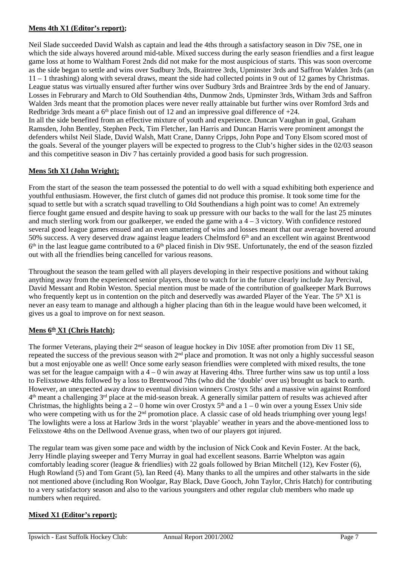# **Mens 4th X1 (Editor's report);**

Neil Slade succeeded David Walsh as captain and lead the 4ths through a satisfactory season in Div 7SE, one in which the side always hovered around mid-table. Mixed success during the early season friendlies and a first league game loss at home to Waltham Forest 2nds did not make for the most auspicious of starts. This was soon overcome as the side began to settle and wins over Sudbury 3rds, Braintree 3rds, Upminster 3rds and Saffron Walden 3rds (an 11 – 1 thrashing) along with several draws, meant the side had collected points in 9 out of 12 games by Christmas. League status was virtually ensured after further wins over Sudbury 3rds and Braintree 3rds by the end of January. Losses in Februrary and March to Old Southendian 4ths, Dunmow 2nds, Upminster 3rds, Witham 3rds and Saffron Walden 3rds meant that the promotion places were never really attainable but further wins over Romford 3rds and Redbridge 3rds meant a  $6<sup>th</sup>$  place finish out of 12 and an impressive goal difference of  $+24$ .

In all the side benefited from an effective mixture of youth and experience. Duncan Vaughan in goal, Graham Ramsden, John Bentley, Stephen Peck, Tim Fletcher, Ian Harris and Duncan Harris were prominent amongst the defenders whilst Neil Slade, David Walsh, Matt Crane, Danny Cripps, John Pope and Tony Elsom scored most of the goals. Several of the younger players will be expected to progress to the Club's higher sides in the 02/03 season and this competitive season in Div 7 has certainly provided a good basis for such progression.

# **Mens 5th X1 (John Wright);**

From the start of the season the team possessed the potential to do well with a squad exhibiting both experience and youthful enthusiasm. However, the first clutch of games did not produce this promise. It took some time for the squad to settle but with a scratch squad travelling to Old Southendians a high point was to come! An extremely fierce fought game ensued and despite having to soak up pressure with our backs to the wall for the last 25 minutes and much sterling work from our goalkeeper, we ended the game with a  $4 - 3$  victory. With confidence restored several good league games ensued and an even smattering of wins and losses meant that our average hovered around 50% success. A very deserved draw against league leaders Chelmsford 6th and an excellent win against Brentwood  $6<sup>th</sup>$  in the last league game contributed to a  $6<sup>th</sup>$  placed finish in Div 9SE. Unfortunately, the end of the season fizzled out with all the friendlies being cancelled for various reasons.

Throughout the season the team gelled with all players developing in their respective positions and without taking anything away from the experienced senior players, those to watch for in the future clearly include Jay Percival, David Messant and Robin Weston. Special mention must be made of the contribution of goalkeeper Mark Burrows who frequently kept us in contention on the pitch and deservedly was awarded Player of the Year. The  $5<sup>th</sup> X1$  is never an easy team to manage and although a higher placing than 6th in the league would have been welcomed, it gives us a goal to improve on for next season.

# Mens  $6<sup>th</sup> X1$  (Chris Hatch);

The former Veterans, playing their 2<sup>nd</sup> season of league hockey in Div 10SE after promotion from Div 11 SE, repeated the success of the previous season with 2<sup>nd</sup> place and promotion. It was not only a highly successful season but a most enjoyable one as well! Once some early season friendlies were completed with mixed results, the tone was set for the league campaign with a  $4 - 0$  win away at Havering 4ths. Three further wins saw us top until a loss to Felixstowe 4ths followed by a loss to Brentwood 7ths (who did the 'double' over us) brought us back to earth. However, an unexpected away draw to eventual division winners Crostyx 5ths and a massive win against Romford  $4<sup>th</sup>$  meant a challenging  $3<sup>rd</sup>$  place at the mid-season break. A generally similar pattern of results was achieved after Christmas, the highlights being a  $2 - 0$  home win over Crostyx  $5<sup>th</sup>$  and a  $1 - 0$  win over a young Essex Univ side who were competing with us for the 2<sup>nd</sup> promotion place. A classic case of old heads triumphing over young legs! The lowlights were a loss at Harlow 3rds in the worst 'playable' weather in years and the above-mentioned loss to Felixstowe 4ths on the Dellwood Avenue grass, when two of our players got injured.

The regular team was given some pace and width by the inclusion of Nick Cook and Kevin Foster. At the back, Jerry Hindle playing sweeper and Terry Murray in goal had excellent seasons. Barrie Whelpton was again comfortably leading scorer (league & friendlies) with 22 goals followed by Brian Mitchell (12), Kev Foster (6), Hugh Rowland (5) and Tom Grant (5), Ian Reed (4). Many thanks to all the umpires and other stalwarts in the side not mentioned above (including Ron Woolgar, Ray Black, Dave Gooch, John Taylor, Chris Hatch) for contributing to a very satisfactory season and also to the various youngsters and other regular club members who made up numbers when required.

# **Mixed X1 (Editor's report);**